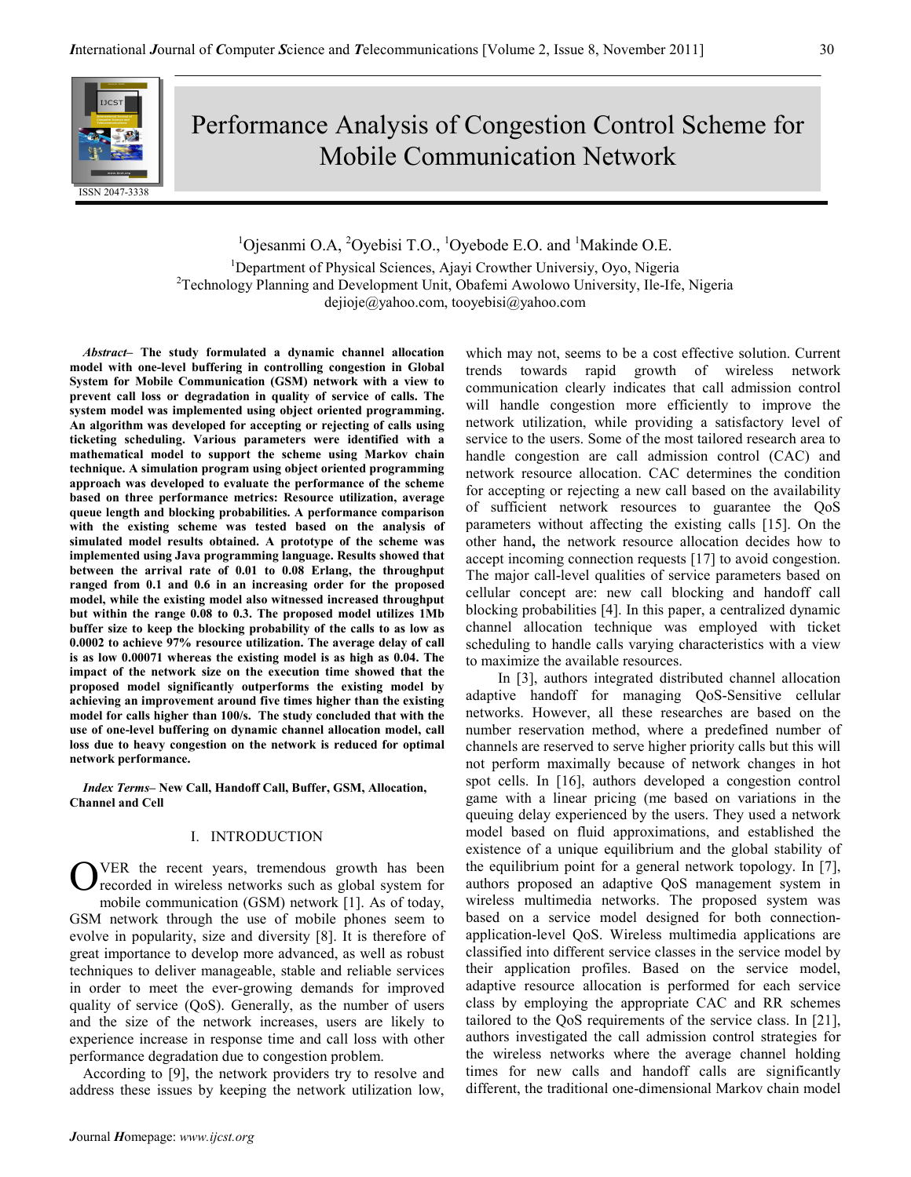

# Performance Analysis of Congestion Control Scheme for Mobile Communication Network

 $1$ Ojesanmi O.A,  $2$ Oyebisi T.O.,  $1$ Oyebode E.O. and  $1$ Makinde O.E.

<sup>1</sup>Department of Physical Sciences, Ajayi Crowther Universiy, Oyo, Nigeria  $2$ Technology Planning and Development Unit, Obafemi Awolowo University, Ile-Ife, Nigeria dejioje@yahoo.com, tooyebisi@yahoo.com

Abstract– The study formulated a dynamic channel allocation model with one-level buffering in controlling congestion in Global System for Mobile Communication (GSM) network with a view to prevent call loss or degradation in quality of service of calls. The system model was implemented using object oriented programming. An algorithm was developed for accepting or rejecting of calls using ticketing scheduling. Various parameters were identified with a mathematical model to support the scheme using Markov chain technique. A simulation program using object oriented programming approach was developed to evaluate the performance of the scheme based on three performance metrics: Resource utilization, average queue length and blocking probabilities. A performance comparison with the existing scheme was tested based on the analysis of simulated model results obtained. A prototype of the scheme was implemented using Java programming language. Results showed that between the arrival rate of 0.01 to 0.08 Erlang, the throughput ranged from 0.1 and 0.6 in an increasing order for the proposed model, while the existing model also witnessed increased throughput but within the range 0.08 to 0.3. The proposed model utilizes 1Mb buffer size to keep the blocking probability of the calls to as low as 0.0002 to achieve 97% resource utilization. The average delay of call is as low 0.00071 whereas the existing model is as high as 0.04. The impact of the network size on the execution time showed that the proposed model significantly outperforms the existing model by achieving an improvement around five times higher than the existing model for calls higher than 100/s. The study concluded that with the use of one-level buffering on dynamic channel allocation model, call loss due to heavy congestion on the network is reduced for optimal network performance.

Index Terms– New Call, Handoff Call, Buffer, GSM, Allocation, Channel and Cell

## I. INTRODUCTION

VER the recent years, tremendous growth has been recorded in wireless networks such as global system for mobile communication (GSM) network [1]. As of today, GSM network through the use of mobile phones seem to evolve in popularity, size and diversity [8]. It is therefore of great importance to develop more advanced, as well as robust techniques to deliver manageable, stable and reliable services in order to meet the ever-growing demands for improved quality of service (QoS). Generally, as the number of users and the size of the network increases, users are likely to experience increase in response time and call loss with other performance degradation due to congestion problem. O

According to [9], the network providers try to resolve and address these issues by keeping the network utilization low, which may not, seems to be a cost effective solution. Current trends towards rapid growth of wireless network communication clearly indicates that call admission control will handle congestion more efficiently to improve the network utilization, while providing a satisfactory level of service to the users. Some of the most tailored research area to handle congestion are call admission control (CAC) and network resource allocation. CAC determines the condition for accepting or rejecting a new call based on the availability of sufficient network resources to guarantee the QoS parameters without affecting the existing calls [15]. On the other hand, the network resource allocation decides how to accept incoming connection requests [17] to avoid congestion. The major call-level qualities of service parameters based on cellular concept are: new call blocking and handoff call blocking probabilities [4]. In this paper, a centralized dynamic channel allocation technique was employed with ticket scheduling to handle calls varying characteristics with a view to maximize the available resources.

 In [3], authors integrated distributed channel allocation adaptive handoff for managing QoS-Sensitive cellular networks. However, all these researches are based on the number reservation method, where a predefined number of channels are reserved to serve higher priority calls but this will not perform maximally because of network changes in hot spot cells. In [16], authors developed a congestion control game with a linear pricing (me based on variations in the queuing delay experienced by the users. They used a network model based on fluid approximations, and established the existence of a unique equilibrium and the global stability of the equilibrium point for a general network topology. In [7], authors proposed an adaptive QoS management system in wireless multimedia networks. The proposed system was based on a service model designed for both connectionapplication-level QoS. Wireless multimedia applications are classified into different service classes in the service model by their application profiles. Based on the service model, adaptive resource allocation is performed for each service class by employing the appropriate CAC and RR schemes tailored to the QoS requirements of the service class. In [21], authors investigated the call admission control strategies for the wireless networks where the average channel holding times for new calls and handoff calls are significantly different, the traditional one-dimensional Markov chain model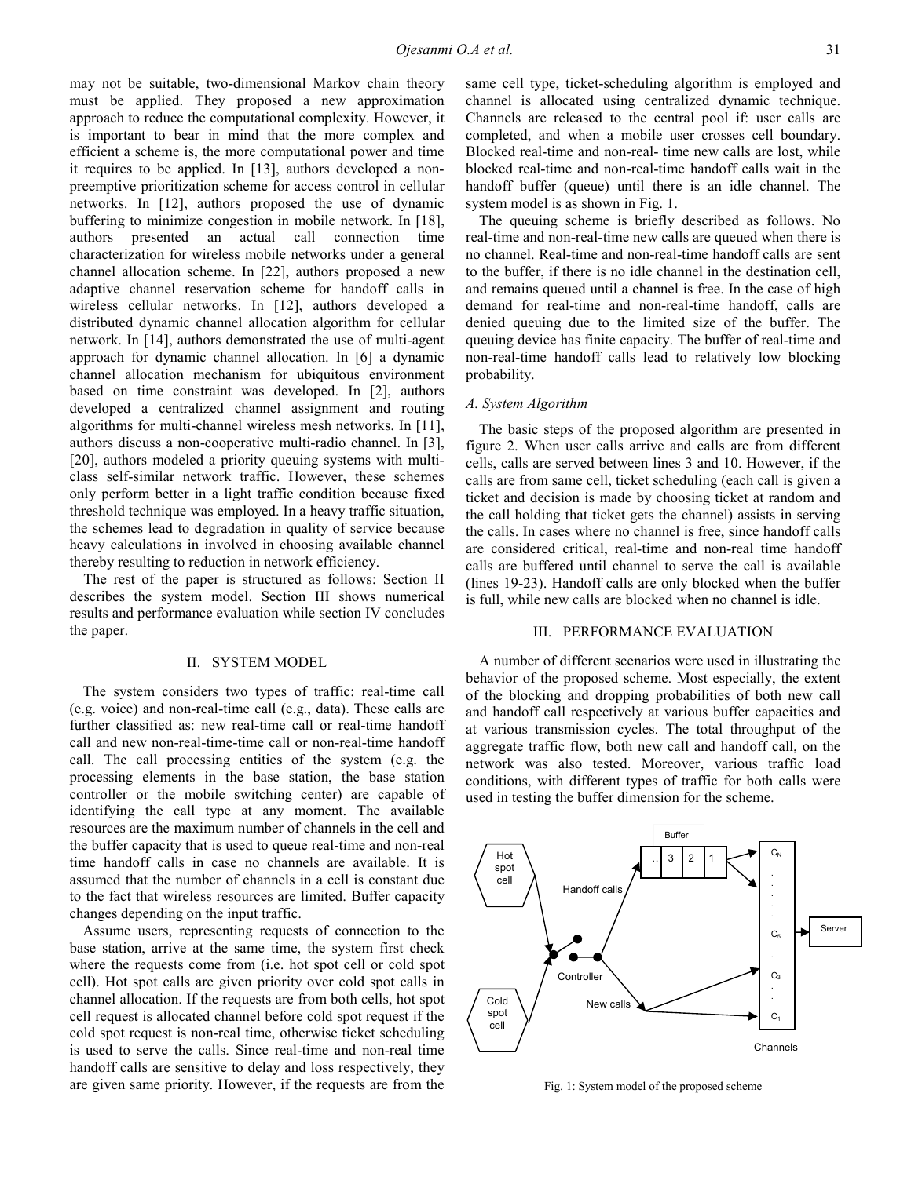may not be suitable, two-dimensional Markov chain theory must be applied. They proposed a new approximation approach to reduce the computational complexity. However, it is important to bear in mind that the more complex and efficient a scheme is, the more computational power and time it requires to be applied. In [13], authors developed a nonpreemptive prioritization scheme for access control in cellular networks. In [12], authors proposed the use of dynamic buffering to minimize congestion in mobile network. In [18], authors presented an actual call connection time characterization for wireless mobile networks under a general channel allocation scheme. In [22], authors proposed a new adaptive channel reservation scheme for handoff calls in wireless cellular networks. In [12], authors developed a distributed dynamic channel allocation algorithm for cellular network. In [14], authors demonstrated the use of multi-agent approach for dynamic channel allocation. In [6] a dynamic channel allocation mechanism for ubiquitous environment based on time constraint was developed. In [2], authors developed a centralized channel assignment and routing algorithms for multi-channel wireless mesh networks. In [11], authors discuss a non-cooperative multi-radio channel. In [3], [20], authors modeled a priority queuing systems with multiclass self-similar network traffic. However, these schemes only perform better in a light traffic condition because fixed threshold technique was employed. In a heavy traffic situation, the schemes lead to degradation in quality of service because heavy calculations in involved in choosing available channel thereby resulting to reduction in network efficiency.

The rest of the paper is structured as follows: Section II describes the system model. Section III shows numerical results and performance evaluation while section IV concludes the paper.

#### II. SYSTEM MODEL

The system considers two types of traffic: real-time call (e.g. voice) and non-real-time call (e.g., data). These calls are further classified as: new real-time call or real-time handoff call and new non-real-time-time call or non-real-time handoff call. The call processing entities of the system (e.g. the processing elements in the base station, the base station controller or the mobile switching center) are capable of identifying the call type at any moment. The available resources are the maximum number of channels in the cell and the buffer capacity that is used to queue real-time and non-real time handoff calls in case no channels are available. It is assumed that the number of channels in a cell is constant due to the fact that wireless resources are limited. Buffer capacity changes depending on the input traffic.

Assume users, representing requests of connection to the base station, arrive at the same time, the system first check where the requests come from (i.e. hot spot cell or cold spot cell). Hot spot calls are given priority over cold spot calls in channel allocation. If the requests are from both cells, hot spot cell request is allocated channel before cold spot request if the cold spot request is non-real time, otherwise ticket scheduling is used to serve the calls. Since real-time and non-real time handoff calls are sensitive to delay and loss respectively, they are given same priority. However, if the requests are from the same cell type, ticket-scheduling algorithm is employed and channel is allocated using centralized dynamic technique. Channels are released to the central pool if: user calls are completed, and when a mobile user crosses cell boundary. Blocked real-time and non-real- time new calls are lost, while blocked real-time and non-real-time handoff calls wait in the handoff buffer (queue) until there is an idle channel. The system model is as shown in Fig. 1.

The queuing scheme is briefly described as follows. No real-time and non-real-time new calls are queued when there is no channel. Real-time and non-real-time handoff calls are sent to the buffer, if there is no idle channel in the destination cell, and remains queued until a channel is free. In the case of high demand for real-time and non-real-time handoff, calls are denied queuing due to the limited size of the buffer. The queuing device has finite capacity. The buffer of real-time and non-real-time handoff calls lead to relatively low blocking probability.

## A. System Algorithm

The basic steps of the proposed algorithm are presented in figure 2. When user calls arrive and calls are from different cells, calls are served between lines 3 and 10. However, if the calls are from same cell, ticket scheduling (each call is given a ticket and decision is made by choosing ticket at random and the call holding that ticket gets the channel) assists in serving the calls. In cases where no channel is free, since handoff calls are considered critical, real-time and non-real time handoff calls are buffered until channel to serve the call is available (lines 19-23). Handoff calls are only blocked when the buffer is full, while new calls are blocked when no channel is idle.

### III. PERFORMANCE EVALUATION

A number of different scenarios were used in illustrating the behavior of the proposed scheme. Most especially, the extent of the blocking and dropping probabilities of both new call and handoff call respectively at various buffer capacities and at various transmission cycles. The total throughput of the aggregate traffic flow, both new call and handoff call, on the network was also tested. Moreover, various traffic load conditions, with different types of traffic for both calls were used in testing the buffer dimension for the scheme.



Fig. 1: System model of the proposed scheme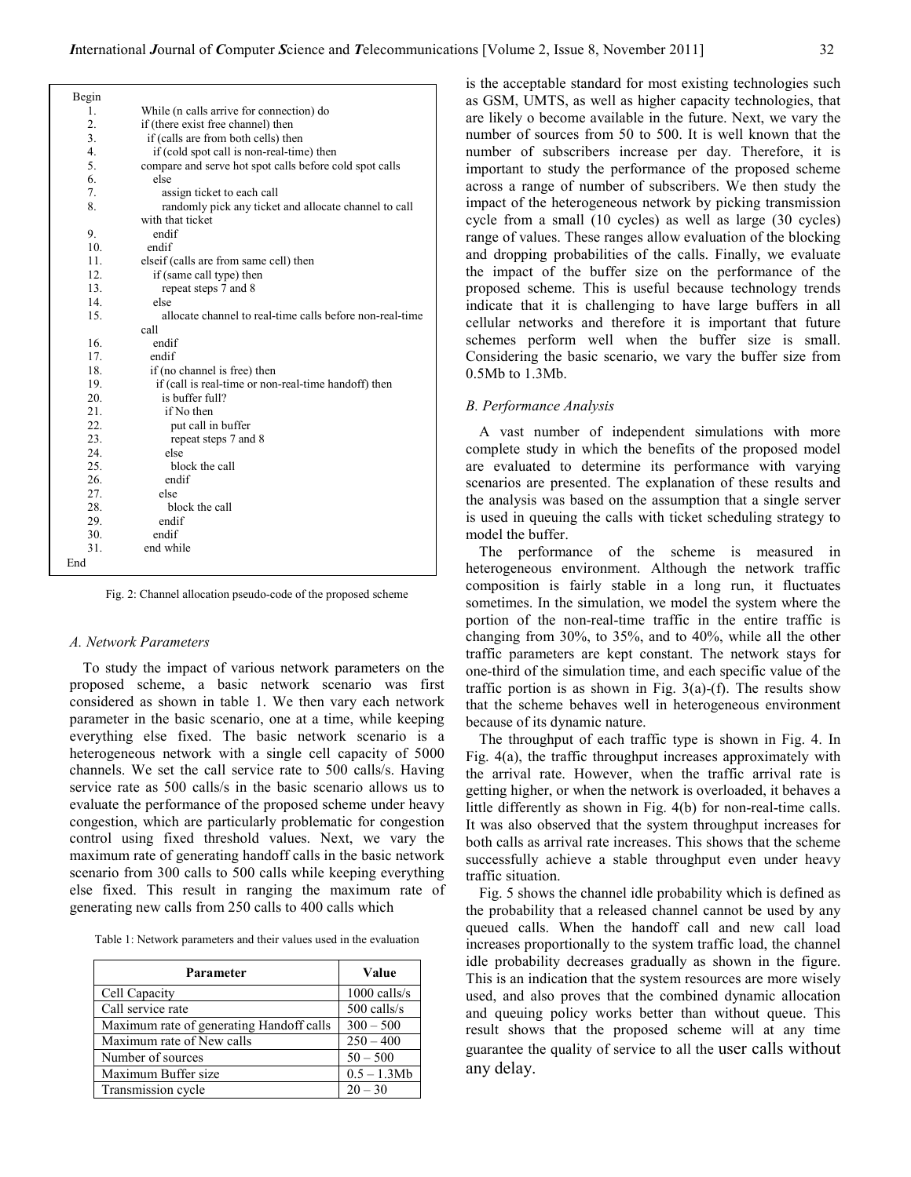| Begin           |                                                          |
|-----------------|----------------------------------------------------------|
| 1.              | While (n calls arrive for connection) do                 |
| 2.              | if (there exist free channel) then                       |
| 3.              | if (calls are from both cells) then                      |
| 4.              | if (cold spot call is non-real-time) then                |
| 5.              | compare and serve hot spot calls before cold spot calls  |
| 6.              | else                                                     |
| 7.              | assign ticket to each call                               |
| 8.              | randomly pick any ticket and allocate channel to call    |
|                 | with that ticket                                         |
| 9.              | endif                                                    |
| 10 <sub>1</sub> | endif                                                    |
| 11.             | elseif (calls are from same cell) then                   |
| 12 <sub>1</sub> | if (same call type) then                                 |
| 13.             | repeat steps 7 and 8                                     |
| 14.             | else                                                     |
| 15.             | allocate channel to real-time calls before non-real-time |
|                 | call                                                     |
| 16.             | endif                                                    |
| 17.             | endif                                                    |
| 18.             | if (no channel is free) then                             |
| 19.             | if (call is real-time or non-real-time handoff) then     |
| 20.             | is buffer full?                                          |
| 21              | if No then                                               |
| 22.             | put call in buffer                                       |
| 23.             | repeat steps 7 and 8                                     |
| 24              | else                                                     |
| 25.             | block the call                                           |
| 26              | endif                                                    |
| 27.             | else                                                     |
| 28.             | block the call                                           |
| 29.             | endif                                                    |
| 30.             | endif                                                    |
| 31.             | end while                                                |
| End             |                                                          |

Fig. 2: Channel allocation pseudo-code of the proposed scheme

#### A. Network Parameters

To study the impact of various network parameters on the proposed scheme, a basic network scenario was first considered as shown in table 1. We then vary each network parameter in the basic scenario, one at a time, while keeping everything else fixed. The basic network scenario is a heterogeneous network with a single cell capacity of 5000 channels. We set the call service rate to 500 calls/s. Having service rate as 500 calls/s in the basic scenario allows us to evaluate the performance of the proposed scheme under heavy congestion, which are particularly problematic for congestion control using fixed threshold values. Next, we vary the maximum rate of generating handoff calls in the basic network scenario from 300 calls to 500 calls while keeping everything else fixed. This result in ranging the maximum rate of generating new calls from 250 calls to 400 calls which

Table 1: Network parameters and their values used in the evaluation

| Parameter                                | Value          |
|------------------------------------------|----------------|
| Cell Capacity                            | $1000$ calls/s |
| Call service rate                        | 500 calls/s    |
| Maximum rate of generating Handoff calls | $300 - 500$    |
| Maximum rate of New calls                | $250 - 400$    |
| Number of sources                        | $50 - 500$     |
| Maximum Buffer size                      | $0.5 - 1.3Mb$  |
| Transmission cycle                       | $20 - 30$      |

is the acceptable standard for most existing technologies such as GSM, UMTS, as well as higher capacity technologies, that are likely o become available in the future. Next, we vary the number of sources from 50 to 500. It is well known that the number of subscribers increase per day. Therefore, it is important to study the performance of the proposed scheme across a range of number of subscribers. We then study the impact of the heterogeneous network by picking transmission cycle from a small (10 cycles) as well as large (30 cycles) range of values. These ranges allow evaluation of the blocking and dropping probabilities of the calls. Finally, we evaluate the impact of the buffer size on the performance of the proposed scheme. This is useful because technology trends indicate that it is challenging to have large buffers in all cellular networks and therefore it is important that future schemes perform well when the buffer size is small. Considering the basic scenario, we vary the buffer size from 0.5Mb to 1.3Mb.

### B. Performance Analysis

A vast number of independent simulations with more complete study in which the benefits of the proposed model are evaluated to determine its performance with varying scenarios are presented. The explanation of these results and the analysis was based on the assumption that a single server is used in queuing the calls with ticket scheduling strategy to model the buffer.

The performance of the scheme is measured in heterogeneous environment. Although the network traffic composition is fairly stable in a long run, it fluctuates sometimes. In the simulation, we model the system where the portion of the non-real-time traffic in the entire traffic is changing from 30%, to 35%, and to 40%, while all the other traffic parameters are kept constant. The network stays for one-third of the simulation time, and each specific value of the traffic portion is as shown in Fig.  $3(a)$ -(f). The results show that the scheme behaves well in heterogeneous environment because of its dynamic nature.

The throughput of each traffic type is shown in Fig. 4. In Fig. 4(a), the traffic throughput increases approximately with the arrival rate. However, when the traffic arrival rate is getting higher, or when the network is overloaded, it behaves a little differently as shown in Fig. 4(b) for non-real-time calls. It was also observed that the system throughput increases for both calls as arrival rate increases. This shows that the scheme successfully achieve a stable throughput even under heavy traffic situation.

Fig. 5 shows the channel idle probability which is defined as the probability that a released channel cannot be used by any queued calls. When the handoff call and new call load increases proportionally to the system traffic load, the channel idle probability decreases gradually as shown in the figure. This is an indication that the system resources are more wisely used, and also proves that the combined dynamic allocation and queuing policy works better than without queue. This result shows that the proposed scheme will at any time guarantee the quality of service to all the user calls without any delay.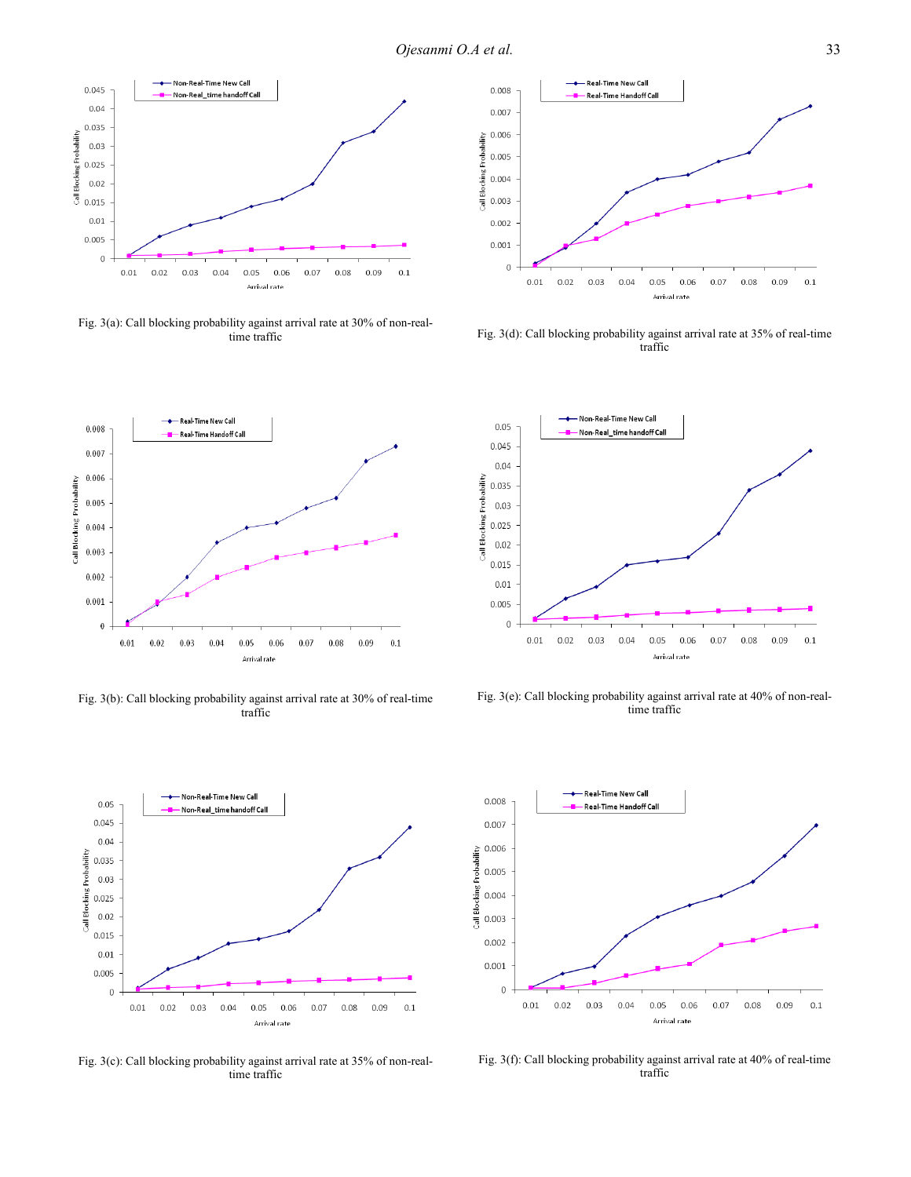

Fig. 3(a): Call blocking probability against arrival rate at 30% of non-realtime traffic



Fig. 3(d): Call blocking probability against arrival rate at 35% of real-time traffic



Fig. 3(b): Call blocking probability against arrival rate at 30% of real-time traffic



Fig. 3(c): Call blocking probability against arrival rate at 35% of non-realtime traffic



Fig. 3(e): Call blocking probability against arrival rate at 40% of non-realtime traffic



Fig. 3(f): Call blocking probability against arrival rate at 40% of real-time traffic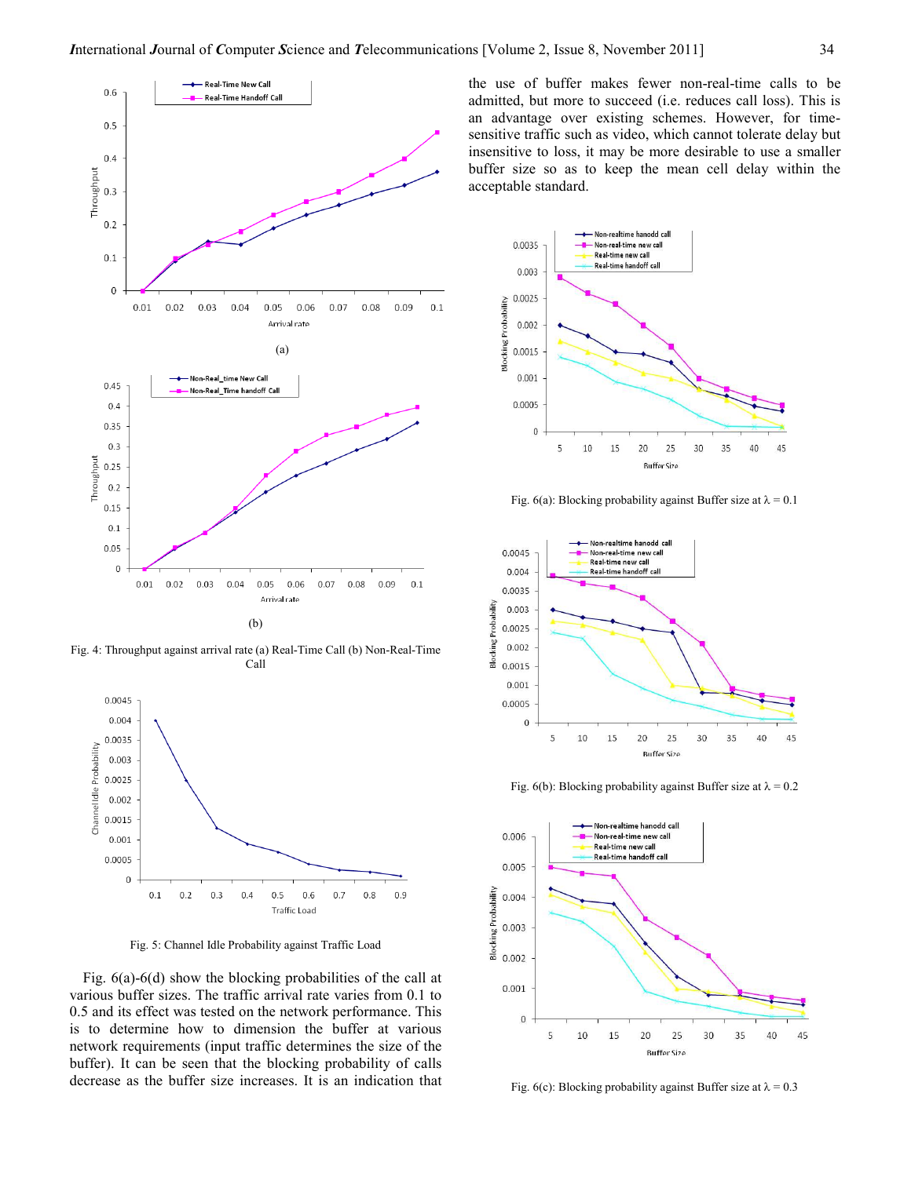

Fig. 4: Throughput against arrival rate (a) Real-Time Call (b) Non-Real-Time Call



Fig. 5: Channel Idle Probability against Traffic Load

Fig. 6(a)-6(d) show the blocking probabilities of the call at various buffer sizes. The traffic arrival rate varies from 0.1 to 0.5 and its effect was tested on the network performance. This is to determine how to dimension the buffer at various network requirements (input traffic determines the size of the buffer). It can be seen that the blocking probability of calls decrease as the buffer size increases. It is an indication that the use of buffer makes fewer non-real-time calls to be admitted, but more to succeed (i.e. reduces call loss). This is an advantage over existing schemes. However, for timesensitive traffic such as video, which cannot tolerate delay but insensitive to loss, it may be more desirable to use a smaller buffer size so as to keep the mean cell delay within the acceptable standard.



Fig. 6(a): Blocking probability against Buffer size at  $\lambda = 0.1$ 



Fig. 6(b): Blocking probability against Buffer size at  $\lambda = 0.2$ 



Fig. 6(c): Blocking probability against Buffer size at  $\lambda = 0.3$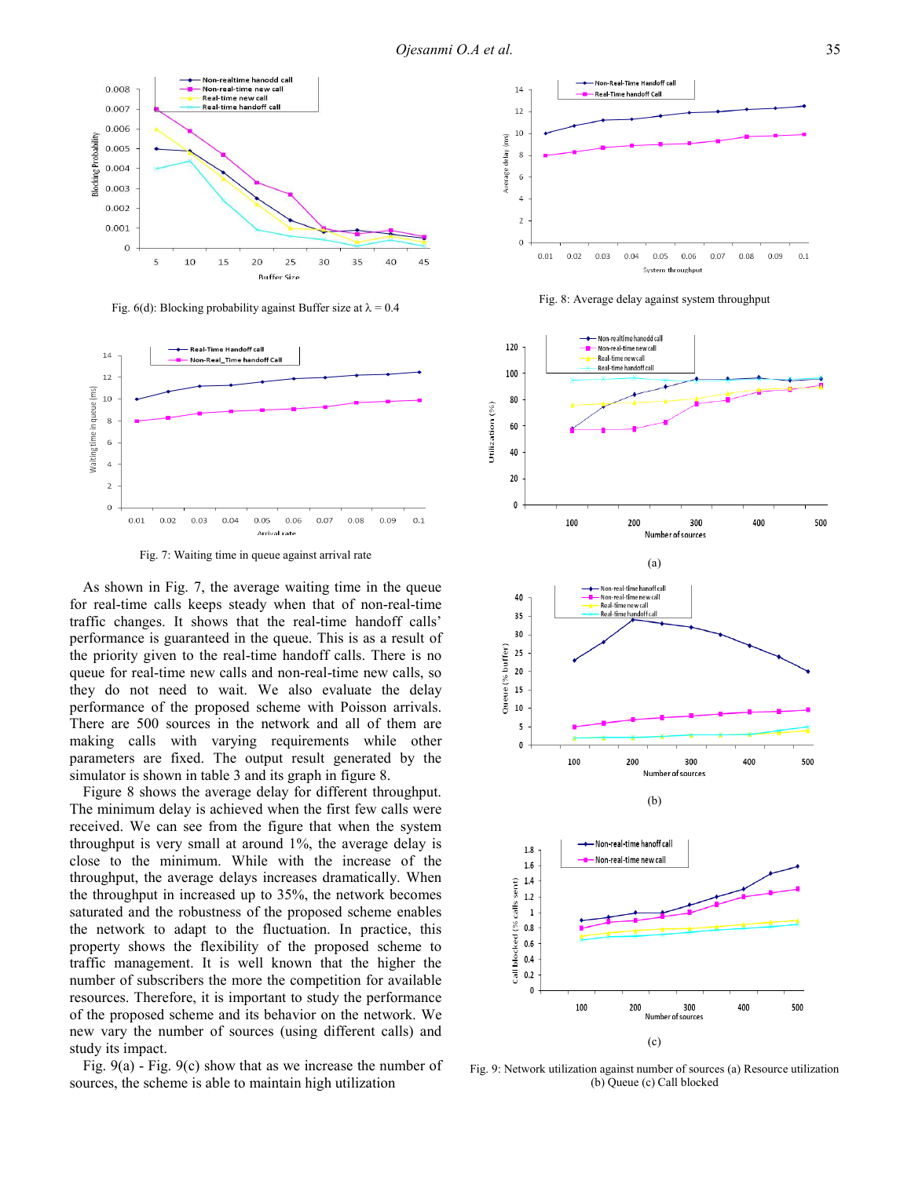

Fig. 6(d): Blocking probability against Buffer size at  $\lambda = 0.4$ 



Fig. 7: Waiting time in queue against arrival rate

As shown in Fig. 7, the average waiting time in the queue for real-time calls keeps steady when that of non-real-time traffic changes. It shows that the real-time handoff calls' performance is guaranteed in the queue. This is as a result of the priority given to the real-time handoff calls. There is no queue for real-time new calls and non-real-time new calls, so they do not need to wait. We also evaluate the delay performance of the proposed scheme with Poisson arrivals. There are 500 sources in the network and all of them are making calls with varying requirements while other parameters are fixed. The output result generated by the simulator is shown in table 3 and its graph in figure 8.

Figure 8 shows the average delay for different throughput. The minimum delay is achieved when the first few calls were received. We can see from the figure that when the system throughput is very small at around 1%, the average delay is close to the minimum. While with the increase of the throughput, the average delays increases dramatically. When the throughput in increased up to 35%, the network becomes saturated and the robustness of the proposed scheme enables the network to adapt to the fluctuation. In practice, this property shows the flexibility of the proposed scheme to traffic management. It is well known that the higher the number of subscribers the more the competition for available resources. Therefore, it is important to study the performance of the proposed scheme and its behavior on the network. We new vary the number of sources (using different calls) and study its impact.

Fig. 9(a) - Fig. 9(c) show that as we increase the number of sources, the scheme is able to maintain high utilization



Fig. 8: Average delay against system throughput



Fig. 9: Network utilization against number of sources (a) Resource utilization (b) Queue (c) Call blocked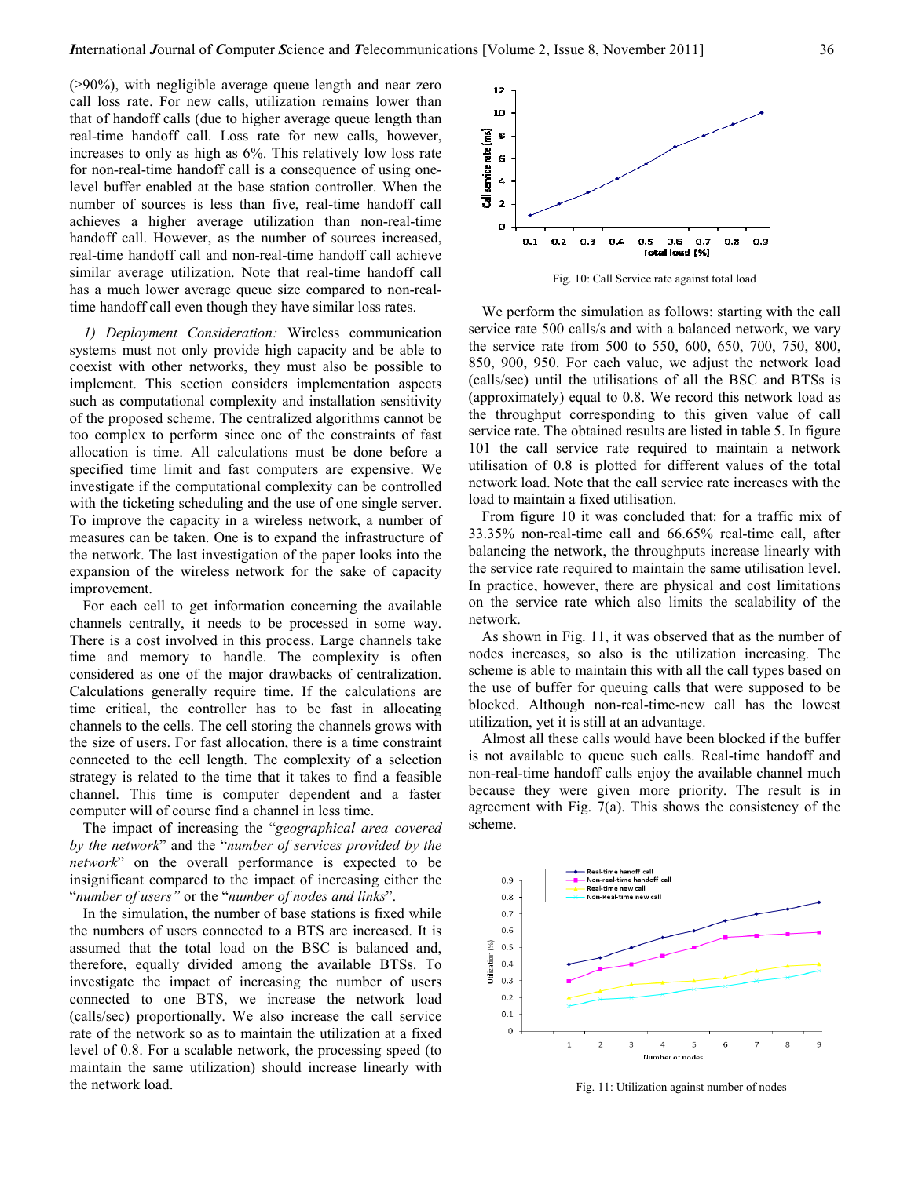(≥90%), with negligible average queue length and near zero call loss rate. For new calls, utilization remains lower than that of handoff calls (due to higher average queue length than real-time handoff call. Loss rate for new calls, however, increases to only as high as 6%. This relatively low loss rate for non-real-time handoff call is a consequence of using onelevel buffer enabled at the base station controller. When the number of sources is less than five, real-time handoff call achieves a higher average utilization than non-real-time handoff call. However, as the number of sources increased, real-time handoff call and non-real-time handoff call achieve similar average utilization. Note that real-time handoff call has a much lower average queue size compared to non-realtime handoff call even though they have similar loss rates.

1) Deployment Consideration: Wireless communication systems must not only provide high capacity and be able to coexist with other networks, they must also be possible to implement. This section considers implementation aspects such as computational complexity and installation sensitivity of the proposed scheme. The centralized algorithms cannot be too complex to perform since one of the constraints of fast allocation is time. All calculations must be done before a specified time limit and fast computers are expensive. We investigate if the computational complexity can be controlled with the ticketing scheduling and the use of one single server. To improve the capacity in a wireless network, a number of measures can be taken. One is to expand the infrastructure of the network. The last investigation of the paper looks into the expansion of the wireless network for the sake of capacity improvement.

For each cell to get information concerning the available channels centrally, it needs to be processed in some way. There is a cost involved in this process. Large channels take time and memory to handle. The complexity is often considered as one of the major drawbacks of centralization. Calculations generally require time. If the calculations are time critical, the controller has to be fast in allocating channels to the cells. The cell storing the channels grows with the size of users. For fast allocation, there is a time constraint connected to the cell length. The complexity of a selection strategy is related to the time that it takes to find a feasible channel. This time is computer dependent and a faster computer will of course find a channel in less time.

The impact of increasing the "geographical area covered by the network" and the "number of services provided by the network" on the overall performance is expected to be insignificant compared to the impact of increasing either the "number of users" or the "number of nodes and links".

In the simulation, the number of base stations is fixed while the numbers of users connected to a BTS are increased. It is assumed that the total load on the BSC is balanced and, therefore, equally divided among the available BTSs. To investigate the impact of increasing the number of users connected to one BTS, we increase the network load (calls/sec) proportionally. We also increase the call service rate of the network so as to maintain the utilization at a fixed level of 0.8. For a scalable network, the processing speed (to maintain the same utilization) should increase linearly with the network load.



Fig. 10: Call Service rate against total load

We perform the simulation as follows: starting with the call service rate 500 calls/s and with a balanced network, we vary the service rate from 500 to 550, 600, 650, 700, 750, 800, 850, 900, 950. For each value, we adjust the network load (calls/sec) until the utilisations of all the BSC and BTSs is (approximately) equal to 0.8. We record this network load as the throughput corresponding to this given value of call service rate. The obtained results are listed in table 5. In figure 101 the call service rate required to maintain a network utilisation of 0.8 is plotted for different values of the total network load. Note that the call service rate increases with the load to maintain a fixed utilisation.

From figure 10 it was concluded that: for a traffic mix of 33.35% non-real-time call and 66.65% real-time call, after balancing the network, the throughputs increase linearly with the service rate required to maintain the same utilisation level. In practice, however, there are physical and cost limitations on the service rate which also limits the scalability of the network.

As shown in Fig. 11, it was observed that as the number of nodes increases, so also is the utilization increasing. The scheme is able to maintain this with all the call types based on the use of buffer for queuing calls that were supposed to be blocked. Although non-real-time-new call has the lowest utilization, yet it is still at an advantage.

Almost all these calls would have been blocked if the buffer is not available to queue such calls. Real-time handoff and non-real-time handoff calls enjoy the available channel much because they were given more priority. The result is in agreement with Fig. 7(a). This shows the consistency of the scheme.



Fig. 11: Utilization against number of nodes